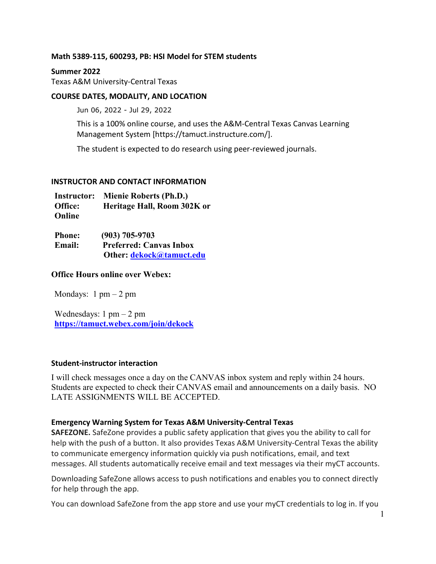### **Math 5389-115, 600293, PB: HSI Model for STEM students**

#### **Summer 2022**

Texas A&M University-Central Texas

### **COURSE DATES, MODALITY, AND LOCATION**

Jun 06, 2022 - Jul 29, 2022

This is a 100% online course, and uses the A&M-Central Texas Canvas Learning Management System [https://tamuct.instructure.com/].

The student is expected to do research using peer-reviewed journals.

### **INSTRUCTOR AND CONTACT INFORMATION**

| <b>Instructor:</b> | Mienie Roberts (Ph.D.)      |
|--------------------|-----------------------------|
| Office:            | Heritage Hall, Room 302K or |
| Online             |                             |

| <b>Phone:</b> | $(903) 705 - 9703$             |
|---------------|--------------------------------|
| <b>Email:</b> | <b>Preferred: Canvas Inbox</b> |
|               | Other: dekock@tamuct.edu       |

### **Office Hours online over Webex:**

Mondays:  $1 \text{ pm} - 2 \text{ pm}$ 

Wednesdays:  $1 \text{ pm} - 2 \text{ pm}$ **<https://tamuct.webex.com/join/dekock>**

### **Student-instructor interaction**

I will check messages once a day on the CANVAS inbox system and reply within 24 hours. Students are expected to check their CANVAS email and announcements on a daily basis. NO LATE ASSIGNMENTS WILL BE ACCEPTED.

### **Emergency Warning System for Texas A&M University-Central Texas**

**SAFEZONE.** SafeZone provides a public safety application that gives you the ability to call for help with the push of a button. It also provides Texas A&M University-Central Texas the ability to communicate emergency information quickly via push notifications, email, and text messages. All students automatically receive email and text messages via their myCT accounts.

Downloading SafeZone allows access to push notifications and enables you to connect directly for help through the app.

You can download SafeZone from the app store and use your myCT credentials to log in. If you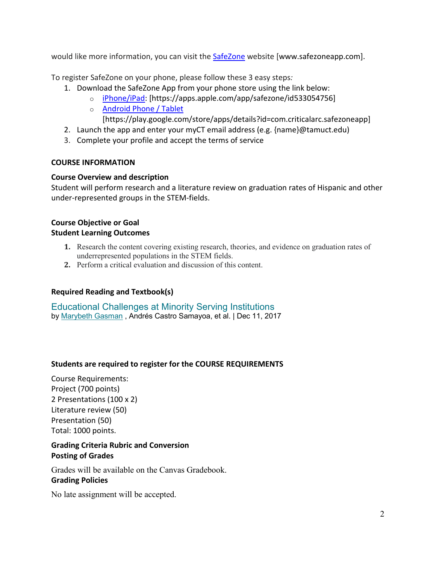would like more information, you can visit the [SafeZone](http://www.safezoneapp.com/) website [www.safezoneapp.com].

To register SafeZone on your phone, please follow these 3 easy steps*:*

- 1. Download the SafeZone App from your phone store using the link below:
	- o [iPhone/iPad:](https://apps.apple.com/app/safezone/id533054756) [https://apps.apple.com/app/safezone/id533054756]
	- o [Android Phone / Tablet](https://play.google.com/store/apps/details?id=com.criticalarc.safezoneapp)

[https://play.google.com/store/apps/details?id=com.criticalarc.safezoneapp]

- 2. Launch the app and enter your myCT email address (e.g. {name}@tamuct.edu)
- 3. Complete your profile and accept the terms of service

## **COURSE INFORMATION**

## **Course Overview and description**

Student will perform research and a literature review on graduation rates of Hispanic and other under-represented groups in the STEM-fields.

## **Course Objective or Goal Student Learning Outcomes**

- **1.** Research the content covering existing research, theories, and evidence on graduation rates of underrepresented populations in the STEM fields.
- **2.** Perform a critical evaluation and discussion of this content.

## **Required Reading and Textbook(s)**

[Educational Challenges at Minority Serving Institutions](https://www.amazon.com/Educational-Challenges-Minority-Serving-Institutions/dp/1138572594/ref=sr_1_fkmr0_1?crid=34HJMVR8O1676&keywords=stem+graduation+rates+hispanic&qid=1654729557&s=books&sprefix=stem+graduation+rates+hispanic%2Cstripbooks-intl-ship%2C130&sr=1-1-fkmr0) by [Marybeth Gasman](https://www.amazon.com/Marybeth-Gasman/e/B001JS9NQ4?ref=sr_ntt_srch_lnk_fkmr0_1&qid=1654729557&sr=1-1-fkmr0) , Andrés Castro Samayoa, et al. | Dec 11, 2017

## **Students are required to register for the COURSE REQUIREMENTS**

Course Requirements: Project (700 points) 2 Presentations (100 x 2) Literature review (50) Presentation (50) Total: 1000 points.

# **Grading Criteria Rubric and Conversion Posting of Grades**

Grades will be available on the Canvas Gradebook. **Grading Policies**

No late assignment will be accepted.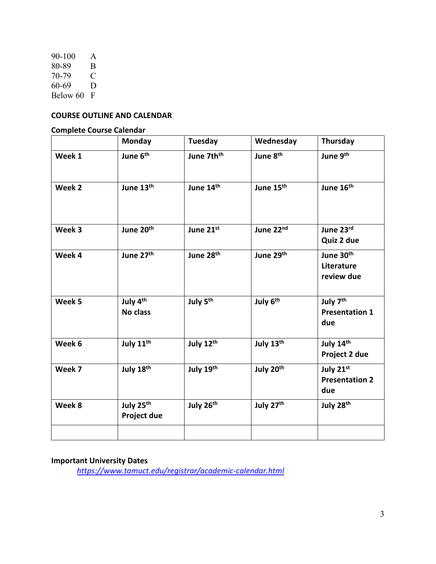90-100 A<br>80-89 B 80-89 B<br>70-79 C 70-79 60-69 D Below 60 F

# **COURSE OUTLINE AND CALENDAR**

## **Complete Course Calendar**

|        | <b>Monday</b>                               | Tuesday                | Wednesday             | Thursday                                             |
|--------|---------------------------------------------|------------------------|-----------------------|------------------------------------------------------|
| Week 1 | June 6 <sup>th</sup>                        | June 7th <sup>th</sup> | June 8 <sup>th</sup>  | June 9th                                             |
| Week 2 | June 13th                                   | June 14th              | June 15 <sup>th</sup> | June 16 <sup>th</sup>                                |
| Week 3 | June 20 <sup>th</sup>                       | June 21st              | June 22nd             | June 23rd<br>Quiz 2 due                              |
| Week 4 | June 27th                                   | June 28 <sup>th</sup>  | June 29th             | June 30 <sup>th</sup><br>Literature<br>review due    |
| Week 5 | July 4th<br><b>No class</b>                 | July 5 <sup>th</sup>   | July 6th              | July 7 <sup>th</sup><br><b>Presentation 1</b><br>due |
| Week 6 | July 11 <sup>th</sup>                       | July 12th              | July 13th             | July 14th<br>Project 2 due                           |
| Week 7 | July 18th                                   | July 19th              | July 20th             | July 21st<br><b>Presentation 2</b><br>due            |
| Week 8 | July 25 <sup>th</sup><br><b>Project due</b> | July 26th              | July 27th             | July 28th                                            |
|        |                                             |                        |                       |                                                      |

# **Important University Dates**

*<https://www.tamuct.edu/registrar/academic-calendar.html>*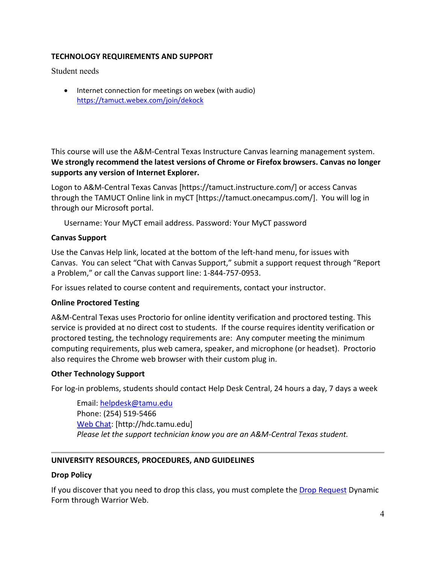## **TECHNOLOGY REQUIREMENTS AND SUPPORT**

Student needs

• Internet connection for meetings on webex (with audio) <https://tamuct.webex.com/join/dekock>

This course will use the A&M-Central Texas Instructure Canvas learning management system. **We strongly recommend the latest versions of Chrome or Firefox browsers. Canvas no longer supports any version of Internet Explorer.**

Logon to A&M-Central Texas Canvas [https://tamuct.instructure.com/] or access Canvas through the TAMUCT Online link in myCT [https://tamuct.onecampus.com/]. You will log in through our Microsoft portal.

Username: Your MyCT email address. Password: Your MyCT password

### **Canvas Support**

Use the Canvas Help link, located at the bottom of the left-hand menu, for issues with Canvas. You can select "Chat with Canvas Support," submit a support request through "Report a Problem," or call the Canvas support line: 1-844-757-0953.

For issues related to course content and requirements, contact your instructor.

#### **Online Proctored Testing**

A&M-Central Texas uses Proctorio for online identity verification and proctored testing. This service is provided at no direct cost to students. If the course requires identity verification or proctored testing, the technology requirements are: Any computer meeting the minimum computing requirements, plus web camera, speaker, and microphone (or headset). Proctorio also requires the Chrome web browser with their custom plug in.

#### **Other Technology Support**

For log-in problems, students should contact Help Desk Central, 24 hours a day, 7 days a week

Email: [helpdesk@tamu.edu](mailto:helpdesk@tamu.edu) Phone: (254) 519-5466 [Web Chat:](http://hdc.tamu.edu/) [http://hdc.tamu.edu] *Please let the support technician know you are an A&M-Central Texas student.*

### **UNIVERSITY RESOURCES, PROCEDURES, AND GUIDELINES**

#### **Drop Policy**

If you discover that you need to drop this class, you must complete the [Drop Request](https://federation.ngwebsolutions.com/sp/startSSO.ping?PartnerIdpId=https://eis-prod.ec.tamuct.edu:443/samlsso&SpSessionAuthnAdapterId=tamuctDF&TargetResource=https%3a%2f%2fdynamicforms.ngwebsolutions.com%2fSubmit%2fStart%2f53b8369e-0502-4f36-be43-f02a4202f612) Dynamic Form through Warrior Web.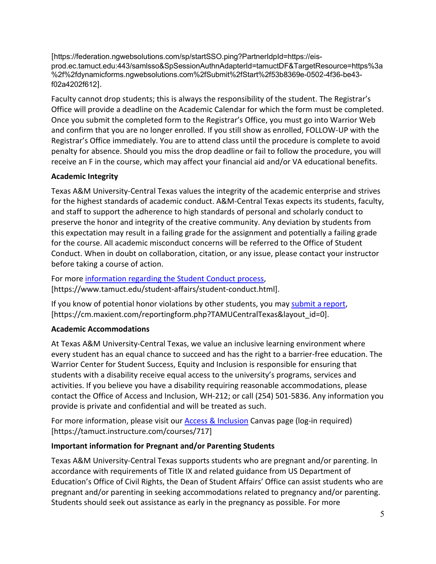[https://federation.ngwebsolutions.com/sp/startSSO.ping?PartnerIdpId=https://eisprod.ec.tamuct.edu:443/samlsso&SpSessionAuthnAdapterId=tamuctDF&TargetResource=https%3a %2f%2fdynamicforms.ngwebsolutions.com%2fSubmit%2fStart%2f53b8369e-0502-4f36-be43 f02a4202f612].

Faculty cannot drop students; this is always the responsibility of the student. The Registrar's Office will provide a deadline on the Academic Calendar for which the form must be completed. Once you submit the completed form to the Registrar's Office, you must go into Warrior Web and confirm that you are no longer enrolled. If you still show as enrolled, FOLLOW-UP with the Registrar's Office immediately. You are to attend class until the procedure is complete to avoid penalty for absence. Should you miss the drop deadline or fail to follow the procedure, you will receive an F in the course, which may affect your financial aid and/or VA educational benefits.

# **Academic Integrity**

Texas A&M University-Central Texas values the integrity of the academic enterprise and strives for the highest standards of academic conduct. A&M-Central Texas expects its students, faculty, and staff to support the adherence to high standards of personal and scholarly conduct to preserve the honor and integrity of the creative community. Any deviation by students from this expectation may result in a failing grade for the assignment and potentially a failing grade for the course. All academic misconduct concerns will be referred to the Office of Student Conduct. When in doubt on collaboration, citation, or any issue, please contact your instructor before taking a course of action.

For more [information](https://nam04.safelinks.protection.outlook.com/?url=https%3A%2F%2Fwww.tamuct.edu%2Fstudent-affairs%2Fstudent-conduct.html&data=04%7C01%7Clisa.bunkowski%40tamuct.edu%7Ccfb6e486f24745f53e1a08d910055cb2%7C9eed4e3000f744849ff193ad8005acec%7C0%7C0%7C637558437485252160%7CUnknown%7CTWFpbGZsb3d8eyJWIjoiMC4wLjAwMDAiLCJQIjoiV2luMzIiLCJBTiI6Ik1haWwiLCJXVCI6Mn0%3D%7C1000&sdata=yjftDEVHvLX%2FhM%2FcFU0B99krV1RgEWR%2BJ%2BhvtoR6TYk%3D&reserved=0) regarding the Student Conduct process, [https://www.tamuct.edu/student-affairs/student-conduct.html].

If you know of potential honor violations by other students, you may [submit](https://nam04.safelinks.protection.outlook.com/?url=https%3A%2F%2Fcm.maxient.com%2Freportingform.php%3FTAMUCentralTexas%26layout_id%3D0&data=04%7C01%7Clisa.bunkowski%40tamuct.edu%7Ccfb6e486f24745f53e1a08d910055cb2%7C9eed4e3000f744849ff193ad8005acec%7C0%7C0%7C637558437485262157%7CUnknown%7CTWFpbGZsb3d8eyJWIjoiMC4wLjAwMDAiLCJQIjoiV2luMzIiLCJBTiI6Ik1haWwiLCJXVCI6Mn0%3D%7C1000&sdata=CXGkOa6uPDPX1IMZ87z3aZDq2n91xfHKu4MMS43Ejjk%3D&reserved=0) a report, [https://cm.maxient.com/reportingform.php?TAMUCentralTexas&layout\_id=0].

# **Academic Accommodations**

At Texas A&M University-Central Texas, we value an inclusive learning environment where every student has an equal chance to succeed and has the right to a barrier-free education. The Warrior Center for Student Success, Equity and Inclusion is responsible for ensuring that students with a disability receive equal access to the university's programs, services and activities. If you believe you have a disability requiring reasonable accommodations, please contact the Office of Access and Inclusion, WH-212; or call (254) 501-5836. Any information you provide is private and confidential and will be treated as such.

For more information, please visit our [Access & Inclusion](https://tamuct.instructure.com/courses/717) Canvas page (log-in required) [https://tamuct.instructure.com/courses/717]

## **Important information for Pregnant and/or Parenting Students**

Texas A&M University-Central Texas supports students who are pregnant and/or parenting. In accordance with requirements of Title IX and related guidance from US Department of Education's Office of Civil Rights, the Dean of Student Affairs' Office can assist students who are pregnant and/or parenting in seeking accommodations related to pregnancy and/or parenting. Students should seek out assistance as early in the pregnancy as possible. For more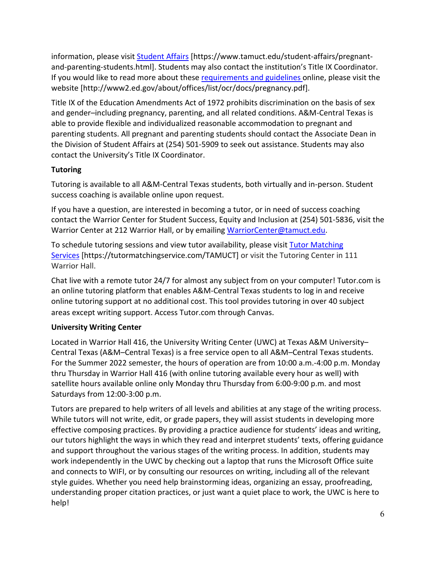information, please visit [Student Affairs](https://www.tamuct.edu/student-affairs/pregnant-and-parenting-students.html) [https://www.tamuct.edu/student-affairs/pregnantand-parenting-students.html]. Students may also contact the institution's Title IX Coordinator. If you would like to read more about thes[e requirements and guidelines](http://www2.ed.gov/about/offices/list/ocr/docs/pregnancy.pdf) online, please visit the website [http://www2.ed.gov/about/offices/list/ocr/docs/pregnancy.pdf].

Title IX of the Education Amendments Act of 1972 prohibits discrimination on the basis of sex and gender–including pregnancy, parenting, and all related conditions. A&M-Central Texas is able to provide flexible and individualized reasonable accommodation to pregnant and parenting students. All pregnant and parenting students should contact the Associate Dean in the Division of Student Affairs at (254) 501-5909 to seek out assistance. Students may also contact the University's Title IX Coordinator.

# **Tutoring**

Tutoring is available to all A&M-Central Texas students, both virtually and in-person. Student success coaching is available online upon request.

If you have a question, are interested in becoming a tutor, or in need of success coaching contact the Warrior Center for Student Success, Equity and Inclusion at (254) 501-5836, visit the Warrior Center at 212 Warrior Hall, or by emailing [WarriorCenter@tamuct.edu.](mailto:WarriorCenter@tamuct.edu)

To schedule tutoring sessions and view tutor availability, please visit Tutor [Matching](https://tutormatchingservice.com/TAMUCT) [Services](https://tutormatchingservice.com/TAMUCT) [https://tutormatchingservice.com/TAMUCT] or visit the Tutoring Center in 111 Warrior Hall.

Chat live with a remote tutor 24/7 for almost any subject from on your computer! Tutor.com is an online tutoring platform that enables A&M-Central Texas students to log in and receive online tutoring support at no additional cost. This tool provides tutoring in over 40 subject areas except writing support. Access Tutor.com through Canvas.

# **University Writing Center**

Located in Warrior Hall 416, the University Writing Center (UWC) at Texas A&M University– Central Texas (A&M–Central Texas) is a free service open to all A&M–Central Texas students. For the Summer 2022 semester, the hours of operation are from 10:00 a.m.-4:00 p.m. Monday thru Thursday in Warrior Hall 416 (with online tutoring available every hour as well) with satellite hours available online only Monday thru Thursday from 6:00-9:00 p.m. and most Saturdays from 12:00-3:00 p.m.

Tutors are prepared to help writers of all levels and abilities at any stage of the writing process. While tutors will not write, edit, or grade papers, they will assist students in developing more effective composing practices. By providing a practice audience for students' ideas and writing, our tutors highlight the ways in which they read and interpret students' texts, offering guidance and support throughout the various stages of the writing process. In addition, students may work independently in the UWC by checking out a laptop that runs the Microsoft Office suite and connects to WIFI, or by consulting our resources on writing, including all of the relevant style guides. Whether you need help brainstorming ideas, organizing an essay, proofreading, understanding proper citation practices, or just want a quiet place to work, the UWC is here to help!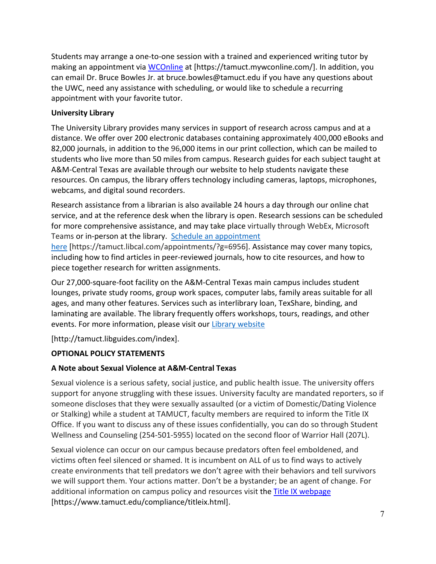Students may arrange a one-to-one session with a trained and experienced writing tutor by making an appointment via [WCOnline](https://tamuct.mywconline.com/) at [https://tamuct.mywconline.com/]. In addition, you can email Dr. Bruce Bowles Jr. at bruce.bowles@tamuct.edu if you have any questions about the UWC, need any assistance with scheduling, or would like to schedule a recurring appointment with your favorite tutor.

# **University Library**

The University Library provides many services in support of research across campus and at a distance. We offer over 200 electronic databases containing approximately 400,000 eBooks and 82,000 journals, in addition to the 96,000 items in our print collection, which can be mailed to students who live more than 50 miles from campus. Research guides for each subject taught at A&M-Central Texas are available through our website to help students navigate these resources. On campus, the library offers technology including cameras, laptops, microphones, webcams, and digital sound recorders.

Research assistance from a librarian is also available 24 hours a day through our online chat service, and at the reference desk when the library is open. Research sessions can be scheduled for more comprehensive assistance, and may take place virtually through WebEx, Microsoft Teams or in-person at the library. Schedule an [appointment](https://nam04.safelinks.protection.outlook.com/?url=https%3A%2F%2Ftamuct.libcal.com%2Fappointments%2F%3Fg%3D6956&data=04%7C01%7Clisa.bunkowski%40tamuct.edu%7Cde2c07d9f5804f09518008d9ab7ba6ff%7C9eed4e3000f744849ff193ad8005acec%7C0%7C0%7C637729369835011558%7CUnknown%7CTWFpbGZsb3d8eyJWIjoiMC4wLjAwMDAiLCJQIjoiV2luMzIiLCJBTiI6Ik1haWwiLCJXVCI6Mn0%3D%7C3000&sdata=KhtjgRSAw9aq%2FoBsB6wyu8b7PSuGN5EGPypzr3Ty2No%3D&reserved=0)

[here](https://nam04.safelinks.protection.outlook.com/?url=https%3A%2F%2Ftamuct.libcal.com%2Fappointments%2F%3Fg%3D6956&data=04%7C01%7Clisa.bunkowski%40tamuct.edu%7Cde2c07d9f5804f09518008d9ab7ba6ff%7C9eed4e3000f744849ff193ad8005acec%7C0%7C0%7C637729369835011558%7CUnknown%7CTWFpbGZsb3d8eyJWIjoiMC4wLjAwMDAiLCJQIjoiV2luMzIiLCJBTiI6Ik1haWwiLCJXVCI6Mn0%3D%7C3000&sdata=KhtjgRSAw9aq%2FoBsB6wyu8b7PSuGN5EGPypzr3Ty2No%3D&reserved=0) [https://tamuct.libcal.com/appointments/?g=6956]. Assistance may cover many topics, including how to find articles in peer-reviewed journals, how to cite resources, and how to piece together research for written assignments.

Our 27,000-square-foot facility on the A&M-Central Texas main campus includes student lounges, private study rooms, group work spaces, computer labs, family areas suitable for all ages, and many other features. Services such as interlibrary loan, TexShare, binding, and laminating are available. The library frequently offers workshops, tours, readings, and other events. For more information, please visit our Library [website](https://nam04.safelinks.protection.outlook.com/?url=https%3A%2F%2Ftamuct.libguides.com%2Findex&data=04%7C01%7Clisa.bunkowski%40tamuct.edu%7C7d8489e8839a4915335f08d916f067f2%7C9eed4e3000f744849ff193ad8005acec%7C0%7C0%7C637566044056484222%7CUnknown%7CTWFpbGZsb3d8eyJWIjoiMC4wLjAwMDAiLCJQIjoiV2luMzIiLCJBTiI6Ik1haWwiLCJXVCI6Mn0%3D%7C1000&sdata=2R755V6rcIyedGrd4Os5rkgn1PvhHKU3kUV1vBKiHFo%3D&reserved=0)

[http://tamuct.libguides.com/index].

# **OPTIONAL POLICY STATEMENTS**

# **A Note about Sexual Violence at A&M-Central Texas**

Sexual violence is a serious safety, social justice, and public health issue. The university offers support for anyone struggling with these issues. University faculty are mandated reporters, so if someone discloses that they were sexually assaulted (or a victim of Domestic/Dating Violence or Stalking) while a student at TAMUCT, faculty members are required to inform the Title IX Office. If you want to discuss any of these issues confidentially, you can do so through Student Wellness and Counseling (254-501-5955) located on the second floor of Warrior Hall (207L).

Sexual violence can occur on our campus because predators often feel emboldened, and victims often feel silenced or shamed. It is incumbent on ALL of us to find ways to actively create environments that tell predators we don't agree with their behaviors and tell survivors we will support them. Your actions matter. Don't be a bystander; be an agent of change. For additional information on campus policy and resources visit the [Title IX webpage](https://www.tamuct.edu/compliance/titleix.html) [\[https://www.tamuct.edu/compliance/titleix.html\]](https://www.tamuct.edu/compliance/titleix.html).